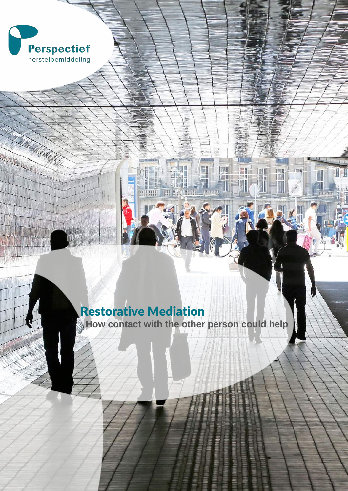

**ANDAY** 

# Restorative Mediation

**How contact with the other person could help**

⊊

畑

THERMIT

ITIL

御

199

B

 $\overline{1}$ 

W